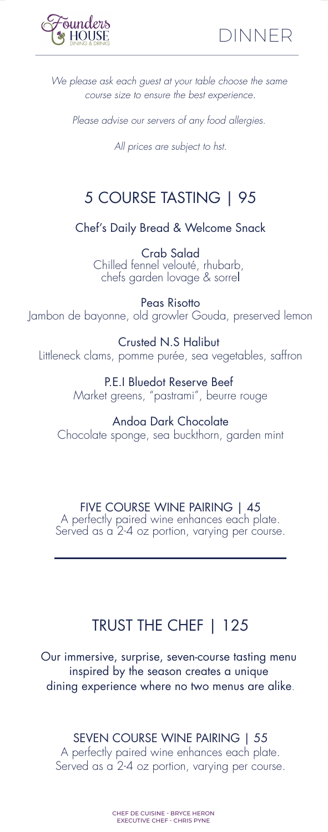



*We please ask each guest at your table choose the same course size to ensure the best experience.*

*Please advise our servers of any food allergies.* 

*All prices are subject to hst.*

# 5 COURSE TASTING | 95

Chef's Daily Bread & Welcome Snack

Crab Salad Chilled fennel velouté, rhubarb, chefs garden lovage & sorrel

Peas Risotto Jambon de bayonne, old growler Gouda, preserved lemon

Crusted N.S Halibut Littleneck clams, pomme purée, sea vegetables, saffron

> P.E.I Bluedot Reserve Beef Market greens, "pastrami", beurre rouge

Andoa Dark Chocolate Chocolate sponge, sea buckthorn, garden mint

FIVE COURSE WINE PAIRING | 45 A perfectly paired wine enhances each plate. Served as a 2-4 oz portion, varying per course.

# TRUST THE CHEF | 125

Our immersive, surprise, seven-course tasting menu inspired by the season creates a unique dining experience where no two menus are alike.

SEVEN COURSE WINE PAIRING | 55

A perfectly paired wine enhances each plate. Served as a 2-4 oz portion, varying per course.

> CHEF DE CUISINE - BRYCE HERON EXECUTIVE CHEF - CHRIS PYNE